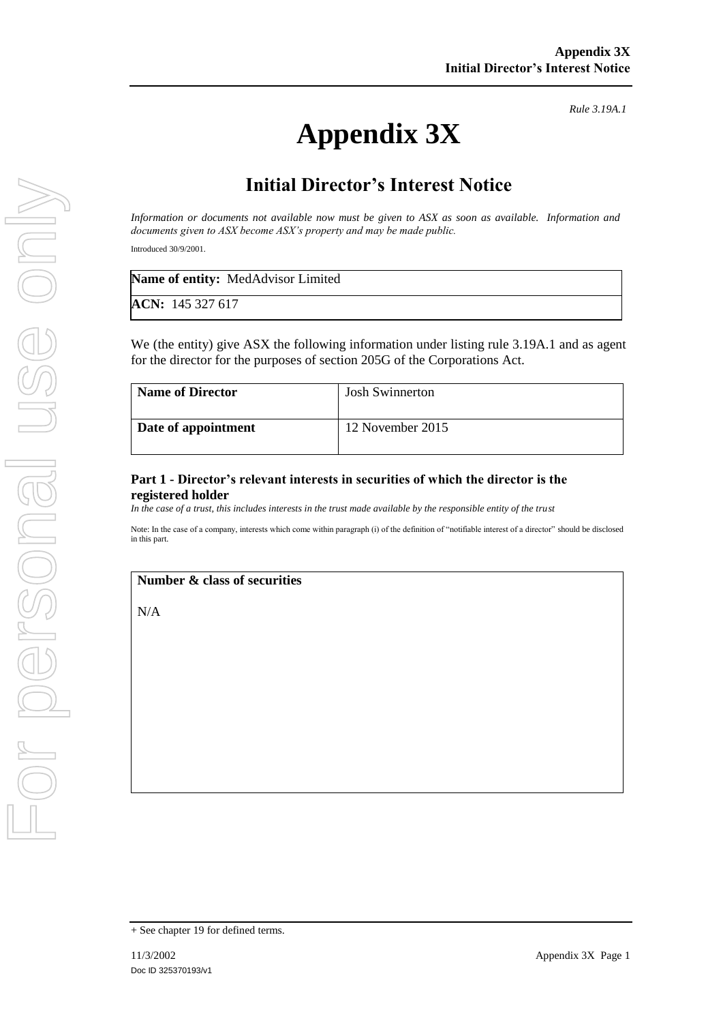# **Appendix 3X**

*Rule 3.19A.1*

# **Initial Director's Interest Notice**

*Information or documents not available now must be given to ASX as soon as available. Information and documents given to ASX become ASX's property and may be made public.*

Introduced 30/9/2001.

| <b>Name of entity:</b> MedAdvisor Limited |  |
|-------------------------------------------|--|
| ACN: 145 327 617                          |  |

We (the entity) give ASX the following information under listing rule 3.19A.1 and as agent for the director for the purposes of section 205G of the Corporations Act.

| <b>Name of Director</b> | <b>Josh Swinnerton</b> |
|-------------------------|------------------------|
| Date of appointment     | 12 November 2015       |

### **Part 1 - Director's relevant interests in securities of which the director is the registered holder**

*In the case of a trust, this includes interests in the trust made available by the responsible entity of the trust*

Note: In the case of a company, interests which come within paragraph (i) of the definition of "notifiable interest of a director" should be disclosed in this part.

#### **Number & class of securities**

N/A

<sup>+</sup> See chapter 19 for defined terms.